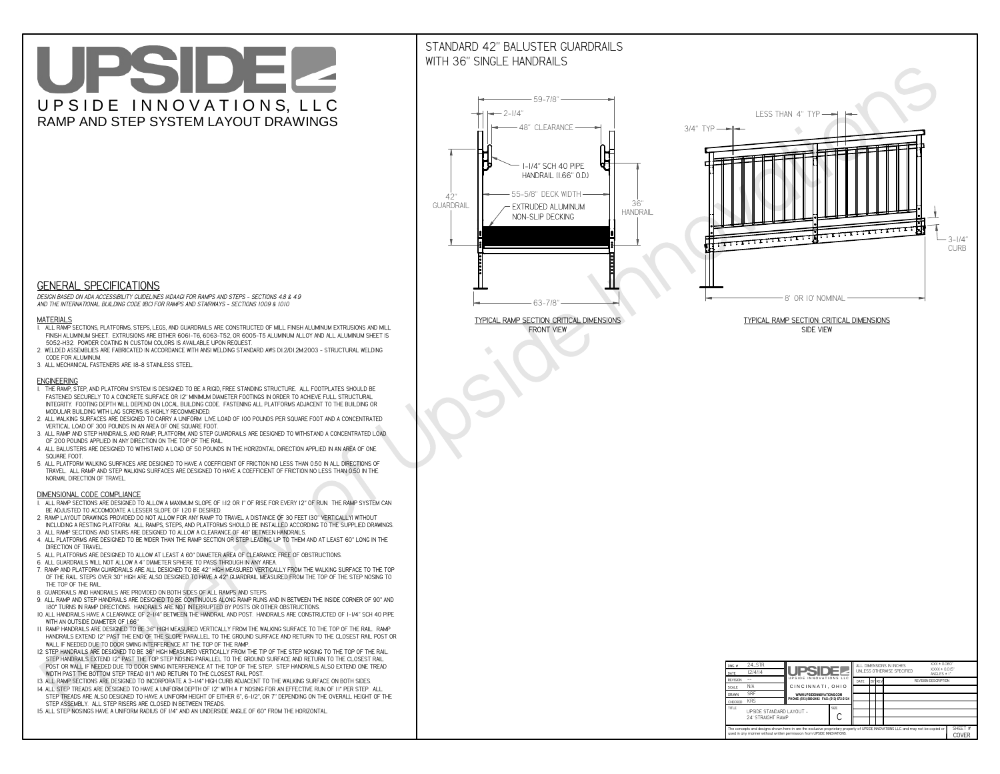# UPSIDEL UPSIDE INNOVATIONS, LLC RAMP AND STEP SYSTEM LAYOUT DRAWINGS

## STANDARD 42" BALUSTER GUARDRAILSWITH 36" SINGLE HANDRAILS

**FRONT VIEW**





**GENERAL SPECIFICATIONS**

 *DESIGN BASED ON ADA ACCESSIBILITY GUIDELINES (ADAAG) FOR RAMPS AND STEPS - SECTIONS 4.8 & 4.9AND THE INTERNATIONAL BUILDING CODE (IBC) FOR RAMPS AND STAIRWAYS - SECTIONS 1009 & 1010*

#### **MATERIALS**

- **1. ALL RAMP SECTIONS, PLATFORMS, STEPS, LEGS, AND GUARDRAILS ARE CONSTRUCTED OF MILL FINISH ALUMINUM EXTRUSIONS AND MILL FINISH ALUMINUM SHEET. EXTRUSIONS ARE EITHER 6061-T6, 6063-T52, OR 6005-T5 ALUMINUM ALLOY AND ALL ALUMINUM SHEET IS 5052-H32. POWDER COATING IN CUSTOM COLORS IS AVAILABLE UPON REQUEST.**
- **2. WELDED ASSEMBLIES ARE FABRICATED IN ACCORDANCE WITH ANSI WELDING STANDARD AWS D1.2/D1.2M:2003 STRUCTURAL WELDING CODE FOR ALUMINUM.**
- **3. ALL MECHANICAL FASTENERS ARE 18-8 STAINLESS STEEL.**

#### **ENGINEERING**

- **1. THE RAMP, STEP, AND PLATFORM SYSTEM IS DESIGNED TO BE A RIGID, FREE STANDING STRUCTURE. ALL FOOTPLATES SHOULD BE FASTENED SECURELY TO A CONCRETE SURFACE OR 12" MINIMUM DIAMETER FOOTINGS IN ORDER TO ACHIEVE FULL STRUCTURAL INTEGRITY. FOOTING DEPTH WILL DEPEND ON LOCAL BUILDING CODE. FASTENING ALL PLATFORMS ADJACENT TO THE BUILDING OR MODULAR BUILDING WITH LAG SCREWS IS HIGHLY RECOMMENDED.**
- **2. ALL WALKING SURFACES ARE DESIGNED TO CARRY A UNIFORM LIVE LOAD OF 100 POUNDS PER SQUARE FOOT AND A CONCENTRATED VERTICAL LOAD OF 300 POUNDS IN AN AREA OF ONE SQUARE FOOT.**
- **3. ALL RAMP AND STEP HANDRAILS, AND RAMP, PLATFORM, AND STEP GUARDRAILS ARE DESIGNED TO WITHSTAND A CONCENTRATED LOAD OF 200 POUNDS APPLIED IN ANY DIRECTION ON THE TOP OF THE RAIL.**
- **4. ALL BALUSTERS ARE DESIGNED TO WITHSTAND A LOAD OF 50 POUNDS IN THE HORIZONTAL DIRECTION APPLIED IN AN AREA OF ONE SQUARE FOOT.**
- **5. ALL PLATFORM WALKING SURFACES ARE DESIGNED TO HAVE A COEFFICIENT OF FRICTION NO LESS THAN 0.50 IN ALL DIRECTIONS OF TRAVEL. ALL RAMP AND STEP WALKING SURFACES ARE DESIGNED TO HAVE A COEFFICIENT OF FRICTION NO LESS THAN 0.50 IN THE NORMAL DIRECTION OF TRAVEL.**

| $DWG.$ #<br>DATE                                                                                                                                                                                            | 24_STR<br>12/4/14                             | <b>UPSIDEZ</b>                            |  |      |  |        | ALL DIMENSIONS IN INCHES<br>UNLESS OTHERWISE SPECIFIED | XXX ± 0.060"<br>$XXX \pm 0.015$ "<br>ANGLES $\pm$ 1° |  |  |
|-------------------------------------------------------------------------------------------------------------------------------------------------------------------------------------------------------------|-----------------------------------------------|-------------------------------------------|--|------|--|--------|--------------------------------------------------------|------------------------------------------------------|--|--|
| <b>REVISION</b>                                                                                                                                                                                             |                                               | UPSIDE INNOVATIONS LLC                    |  | DATE |  | BY REV |                                                        | <b>REVISION DESCRIPTION</b>                          |  |  |
| <b>SCALE</b>                                                                                                                                                                                                | N/A                                           | CINCINNATI, OHIO                          |  |      |  |        |                                                        |                                                      |  |  |
| <b>DRAWN</b>                                                                                                                                                                                                | <b>SRF</b>                                    | WWW.UPSIDEINNOVATIONS.COM                 |  |      |  |        |                                                        |                                                      |  |  |
| CHECKED                                                                                                                                                                                                     | <b>KRS</b>                                    | PHONE: (513) 889-2492 FAX: (513) 672-2124 |  |      |  |        |                                                        |                                                      |  |  |
| <b>TITLE</b>                                                                                                                                                                                                | UPSIDE STANDARD LAYOUT -<br>24' STRAIGHT RAMP |                                           |  |      |  |        |                                                        |                                                      |  |  |
| The concepts and designs shown here-in are the exclusive proprietary property of UPSIDE INNOVATIONS LLC. and may not be copied or<br>used in any manner without written permission from UPSIDE INNOVATIONS. |                                               |                                           |  |      |  |        |                                                        |                                                      |  |  |

### **DIMENSIONAL CODE COMPLIANCE**

- **1. ALL RAMP SECTIONS ARE DESIGNED TO ALLOW A MAXIMUM SLOPE OF 1:12 OR 1" OF RISE FOR EVERY 12" OF RUN. THE RAMP SYSTEM CAN BE ADJUSTED TO ACCOMODATE A LESSER SLOPE OF 1:20 IF DESIRED.**
- **2. RAMP LAYOUT DRAWINGS PROVIDED DO NOT ALLOW FOR ANY RAMP TO TRAVEL A DISTANCE OF 30 FEET (30" VERTICALLY) WITHOUT INCLUDING A RESTING PLATFORM. ALL RAMPS, STEPS, AND PLATFORMS SHOULD BE INSTALLED ACCORDING TO THE SUPPLIED DRAWINGS.**
- **3. ALL RAMP SECTIONS AND STAIRS ARE DESIGNED TO ALLOW A CLEARANCE OF 48" BETWEEN HANDRAILS.**
- **4. ALL PLATFORMS ARE DESIGNED TO BE WIDER THAN THE RAMP SECTION OR STEP LEADING UP TO THEM AND AT LEAST 60" LONG IN THE DIRECTION OF TRAVEL.**
- **5. ALL PLATFORMS ARE DESIGNED TO ALLOW AT LEAST A 60" DIAMETER AREA OF CLEARANCE FREE OF OBSTRUCTIONS.**
- **6. ALL GUARDRAILS WILL NOT ALLOW A 4" DIAMETER SPHERE TO PASS THROUGH IN ANY AREA.**
- **7. RAMP AND PLATFORM GUARDRAILS ARE ALL DESIGNED TO BE 42" HIGH MEASURED VERTICALLY FROM THE WALKING SURFACE TO THE TOP OF THE RAIL. STEPS OVER 30" HIGH ARE ALSO DESIGNED TO HAVE A 42" GUARDRAIL MEASURED FROM THE TOP OF THE STEP NOSING TO THE TOP OF THE RAIL.**
- **8. GUARDRAILS AND HANDRAILS ARE PROVIDED ON BOTH SIDES OF ALL RAMPS AND STEPS.**
- **9. ALL RAMP AND STEP HANDRAILS ARE DESIGNED TO BE CONTINUOUS ALONG RAMP RUNS AND IN BETWEEN THE INSIDE CORNER OF 90° AND 180° TURNS IN RAMP DIRECTIONS. HANDRAILS ARE NOT INTERRUPTED BY POSTS OR OTHER OBSTRUCTIONS.**
- **10. ALL HANDRAILS HAVE A CLEARANCE OF 2-1/4" BETWEEN THE HANDRAIL AND POST. HANDRAILS ARE CONSTRUCTED OF 1-1/4" SCH 40 PIPE WITH AN OUTSIDE DIAMETER OF 1.66"**
- **11. RAMP HANDRAILS ARE DESIGNED TO BE 36" HIGH MEASURED VERTICALLY FROM THE WALKING SURFACE TO THE TOP OF THE RAIL. RAMP HANDRAILS EXTEND 12" PAST THE END OF THE SLOPE PARALLEL TO THE GROUND SURFACE AND RETURN TO THE CLOSEST RAIL POST OR WALL IF NEEDED DUE TO DOOR SWING INTERFERENCE AT THE TOP OF THE RAMP.**
- **12. STEP HANDRAILS ARE DESIGNED TO BE 36" HIGH MEASURED VERTICALLY FROM THE TIP OF THE STEP NOSING TO THE TOP OF THE RAIL. STEP HANDRAILS EXTEND 12" PAST THE TOP STEP NOSING PARALLEL TO THE GROUND SURFACE AND RETURN TO THE CLOSEST RAIL POST OR WALL IF NEEDED DUE TO DOOR SWING INTERFERENCE AT THE TOP OF THE STEP. STEP HANDRAILS ALSO EXTEND ONE TREAD**
- **WIDTH PAST THE BOTTOM STEP TREAD (11") AND RETURN TO THE CLOSEST RAIL POST.**
- **13. ALL RAMP SECTIONS ARE DESIGNED TO INCORPORATE A 3-1/4" HIGH CURB ADJACENT TO THE WALKING SURFACE ON BOTH SIDES.**
- **14. ALL STEP TREADS ARE DESIGNED TO HAVE A UNIFORM DEPTH OF 12" WITH A 1" NOSING FOR AN EFFECTIVE RUN OF 11" PER STEP. ALL STEP TREADS ARE ALSO DESIGNED TO HAVE A UNIFORM HEIGHT OF EITHER 6", 6-1/2", OR 7" DEPENDING ON THE OVERALL HEIGHT OF THE STEP ASSEMBLY. ALL STEP RISERS ARE CLOSED IN BETWEEN TREADS.**
- **15. ALL STEP NOSINGS HAVE A UNIFORM RADIUS OF 1/4" AND AN UNDERSIDE ANGLE OF 60° FROM THE HORIZONTAL.**